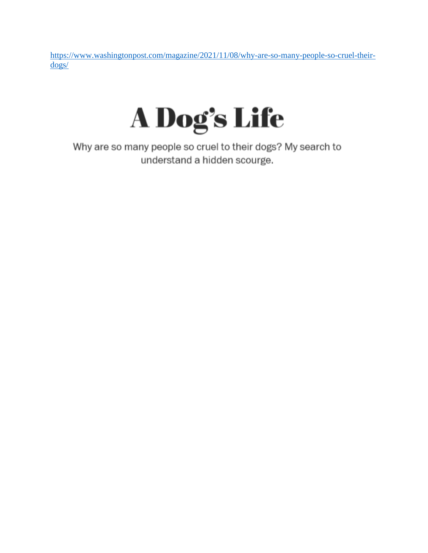[https://www.washingtonpost.com/magazine/2021/11/08/why-are-so-many-people-so-cruel-their](https://www.washingtonpost.com/magazine/2021/11/08/why-are-so-many-people-so-cruel-their-dogs/)[dogs/](https://www.washingtonpost.com/magazine/2021/11/08/why-are-so-many-people-so-cruel-their-dogs/)



Why are so many people so cruel to their dogs? My search to understand a hidden scourge.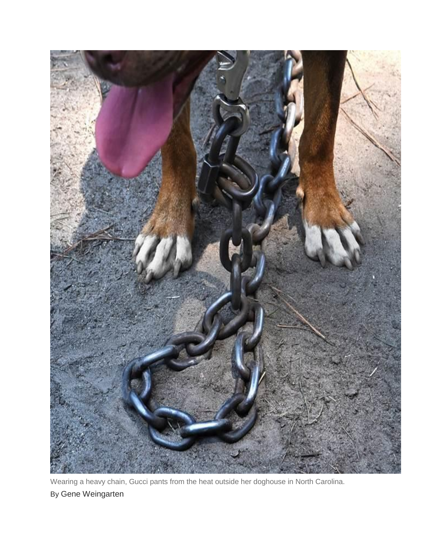

Wearing a heavy chain, Gucci pants from the heat outside her doghouse in North Carolina. By Gene Weingarten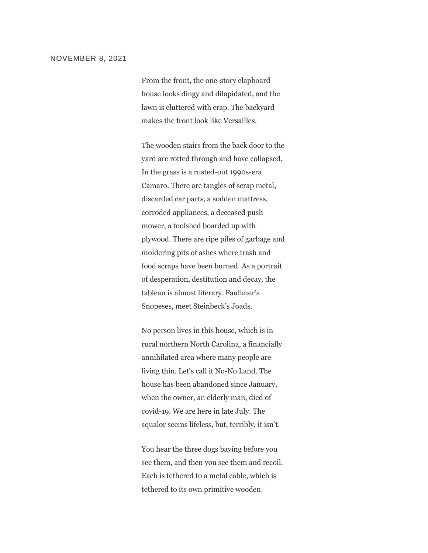### NOVEMBER 8, 2021

From the front, the one-story clapboard house looks dingy and dilapidated, and the lawn is cluttered with crap. The backyard makes the front look like Versailles.

The wooden stairs from the back door to the yard are rotted through and have collapsed. In the grass is a rusted-out 1990s-era Camaro. There are tangles of scrap metal, discarded car parts, a sodden mattress, corroded appliances, a deceased push mower, a toolshed boarded up with plywood. There are ripe piles of garbage and moldering pits of ashes where trash and food scraps have been burned. As a portrait of desperation, destitution and decay, the tableau is almost literary. Faulkner's Snopeses, meet Steinbeck's Joads.

No person lives in this house, which is in rural northern North Carolina, a financially annihilated area where many people are living thin. Let's call it No-No Land. The house has been abandoned since January, when the owner, an elderly man, died of covid-19. We are here in late July. The squalor seems lifeless, but, terribly, it isn't.

You hear the three dogs baying before you see them, and then you see them and recoil. Each is tethered to a metal cable, which is tethered to its own primitive wooden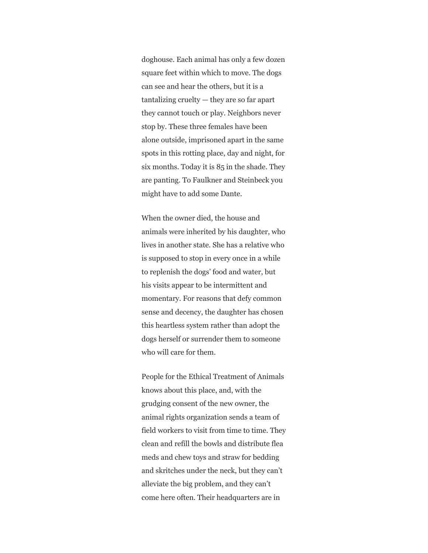doghouse. Each animal has only a few dozen square feet within which to move. The dogs can see and hear the others, but it is a tantalizing cruelty — they are so far apart they cannot touch or play. Neighbors never stop by. These three females have been alone outside, imprisoned apart in the same spots in this rotting place, day and night, for six months. Today it is 85 in the shade. They are panting. To Faulkner and Steinbeck you might have to add some Dante.

When the owner died, the house and animals were inherited by his daughter, who lives in another state. She has a relative who is supposed to stop in every once in a while to replenish the dogs' food and water, but his visits appear to be intermittent and momentary. For reasons that defy common sense and decency, the daughter has chosen this heartless system rather than adopt the dogs herself or surrender them to someone who will care for them.

People for the Ethical Treatment of Animals knows about this place, and, with the grudging consent of the new owner, the animal rights organization sends a team of field workers to visit from time to time. They clean and refill the bowls and distribute flea meds and chew toys and straw for bedding and skritches under the neck, but they can't alleviate the big problem, and they can't come here often. Their headquarters are in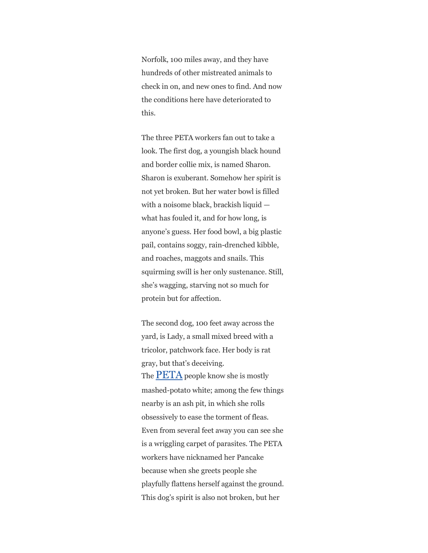Norfolk, 100 miles away, and they have hundreds of other mistreated animals to check in on, and new ones to find. And now the conditions here have deteriorated to this.

The three PETA workers fan out to take a look. The first dog, a youngish black hound and border collie mix, is named Sharon. Sharon is exuberant. Somehow her spirit is not yet broken. But her water bowl is filled with a noisome black, brackish liquid what has fouled it, and for how long, is anyone's guess. Her food bowl, a big plastic pail, contains soggy, rain-drenched kibble, and roaches, maggots and snails. This squirming swill is her only sustenance. Still, she's wagging, starving not so much for protein but for affection.

The second dog, 100 feet away across the yard, is Lady, a small mixed breed with a tricolor, patchwork face. Her body is rat gray, but that's deceiving. The  $\overline{PETA}$  $\overline{PETA}$  $\overline{PETA}$  people know she is mostly mashed-potato white; among the few things nearby is an ash pit, in which she rolls obsessively to ease the torment of fleas. Even from several feet away you can see she is a wriggling carpet of parasites. The PETA workers have nicknamed her Pancake because when she greets people she playfully flattens herself against the ground. This dog's spirit is also not broken, but her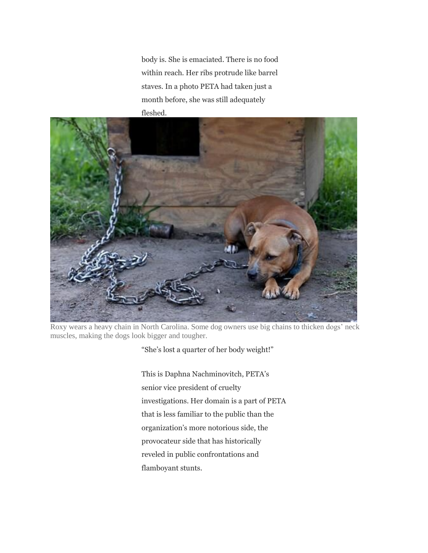body is. She is emaciated. There is no food within reach. Her ribs protrude like barrel staves. In a photo PETA had taken just a month before, she was still adequately fleshed.



Roxy wears a heavy chain in North Carolina. Some dog owners use big chains to thicken dogs' neck muscles, making the dogs look bigger and tougher.

"She's lost a quarter of her body weight!"

This is Daphna Nachminovitch, PETA's senior vice president of cruelty investigations. Her domain is a part of PETA that is less familiar to the public than the organization's more notorious side, the provocateur side that has historically reveled in public confrontations and flamboyant stunts.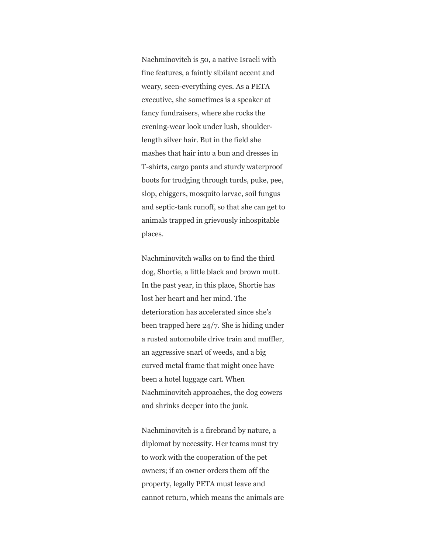Nachminovitch is 50, a native Israeli with fine features, a faintly sibilant accent and weary, seen-everything eyes. As a PETA executive, she sometimes is a speaker at fancy fundraisers, where she rocks the evening-wear look under lush, shoulderlength silver hair. But in the field she mashes that hair into a bun and dresses in T-shirts, cargo pants and sturdy waterproof boots for trudging through turds, puke, pee, slop, chiggers, mosquito larvae, soil fungus and septic-tank runoff, so that she can get to animals trapped in grievously inhospitable places.

Nachminovitch walks on to find the third dog, Shortie, a little black and brown mutt. In the past year, in this place, Shortie has lost her heart and her mind. The deterioration has accelerated since she's been trapped here 24/7. She is hiding under a rusted automobile drive train and muffler, an aggressive snarl of weeds, and a big curved metal frame that might once have been a hotel luggage cart. When Nachminovitch approaches, the dog cowers and shrinks deeper into the junk.

Nachminovitch is a firebrand by nature, a diplomat by necessity. Her teams must try to work with the cooperation of the pet owners; if an owner orders them off the property, legally PETA must leave and cannot return, which means the animals are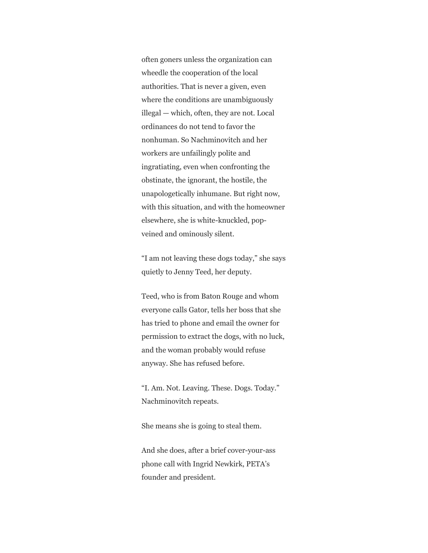often goners unless the organization can wheedle the cooperation of the local authorities. That is never a given, even where the conditions are unambiguously illegal — which, often, they are not. Local ordinances do not tend to favor the nonhuman. So Nachminovitch and her workers are unfailingly polite and ingratiating, even when confronting the obstinate, the ignorant, the hostile, the unapologetically inhumane. But right now, with this situation, and with the homeowner elsewhere, she is white-knuckled, popveined and ominously silent.

"I am not leaving these dogs today," she says quietly to Jenny Teed, her deputy.

Teed, who is from Baton Rouge and whom everyone calls Gator, tells her boss that she has tried to phone and email the owner for permission to extract the dogs, with no luck, and the woman probably would refuse anyway. She has refused before.

"I. Am. Not. Leaving. These. Dogs. Today." Nachminovitch repeats.

She means she is going to steal them.

And she does, after a brief cover-your-ass phone call with Ingrid Newkirk, PETA's founder and president.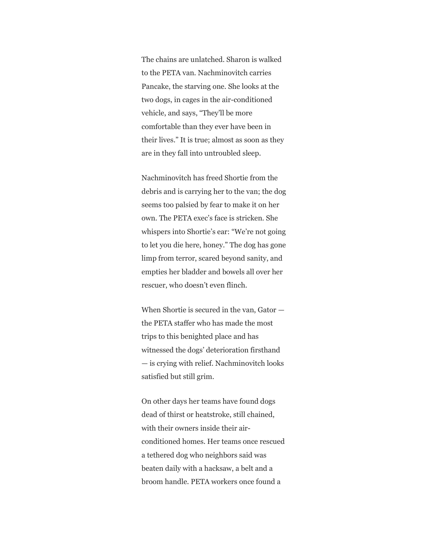The chains are unlatched. Sharon is walked to the PETA van. Nachminovitch carries Pancake, the starving one. She looks at the two dogs, in cages in the air-conditioned vehicle, and says, "They'll be more comfortable than they ever have been in their lives." It is true; almost as soon as they are in they fall into untroubled sleep.

Nachminovitch has freed Shortie from the debris and is carrying her to the van; the dog seems too palsied by fear to make it on her own. The PETA exec's face is stricken. She whispers into Shortie's ear: "We're not going to let you die here, honey." The dog has gone limp from terror, scared beyond sanity, and empties her bladder and bowels all over her rescuer, who doesn't even flinch.

When Shortie is secured in the van, Gator the PETA staffer who has made the most trips to this benighted place and has witnessed the dogs' deterioration firsthand — is crying with relief. Nachminovitch looks satisfied but still grim.

On other days her teams have found dogs dead of thirst or heatstroke, still chained, with their owners inside their airconditioned homes. Her teams once rescued a tethered dog who neighbors said was beaten daily with a hacksaw, a belt and a broom handle. PETA workers once found a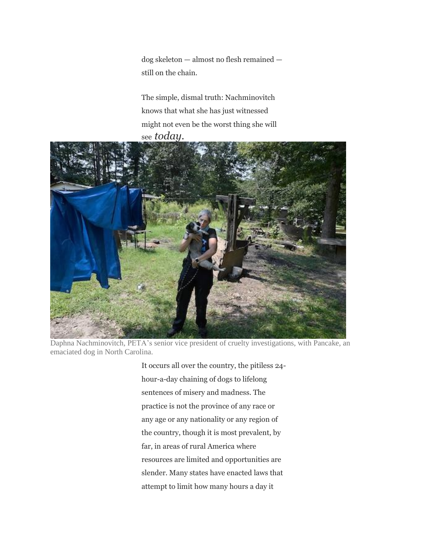dog skeleton — almost no flesh remained still on the chain.

The simple, dismal truth: Nachminovitch knows that what she has just witnessed might not even be the worst thing she will see *today.*



Daphna Nachminovitch, PETA's senior vice president of cruelty investigations, with Pancake, an emaciated dog in North Carolina.

It occurs all over the country, the pitiless 24 hour-a-day chaining of dogs to lifelong sentences of misery and madness. The practice is not the province of any race or any age or any nationality or any region of the country, though it is most prevalent, by far, in areas of rural America where resources are limited and opportunities are slender. Many states have enacted laws that attempt to limit how many hours a day it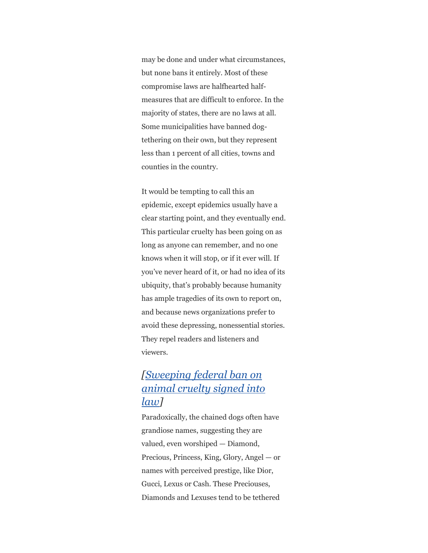may be done and under what circumstances, but none bans it entirely. Most of these compromise laws are halfhearted halfmeasures that are difficult to enforce. In the majority of states, there are no laws at all. Some municipalities have banned dogtethering on their own, but they represent less than 1 percent of all cities, towns and counties in the country.

It would be tempting to call this an epidemic, except epidemics usually have a clear starting point, and they eventually end. This particular cruelty has been going on as long as anyone can remember, and no one knows when it will stop, or if it ever will. If you've never heard of it, or had no idea of its ubiquity, that's probably because humanity has ample tragedies of its own to report on, and because news organizations prefer to avoid these depressing, nonessential stories. They repel readers and listeners and viewers.

# *[\[Sweeping](https://www.washingtonpost.com/science/2019/11/25/most-animal-cruelty-isnt-federal-crime-that-changes-monday-when-bipartisan-bill-becomes-law/) federal ban on [animal](https://www.washingtonpost.com/science/2019/11/25/most-animal-cruelty-isnt-federal-crime-that-changes-monday-when-bipartisan-bill-becomes-law/) cruelty signed into [law\]](https://www.washingtonpost.com/science/2019/11/25/most-animal-cruelty-isnt-federal-crime-that-changes-monday-when-bipartisan-bill-becomes-law/)*

Paradoxically, the chained dogs often have grandiose names, suggesting they are valued, even worshiped — Diamond, Precious, Princess, King, Glory, Angel — or names with perceived prestige, like Dior, Gucci, Lexus or Cash. These Preciouses, Diamonds and Lexuses tend to be tethered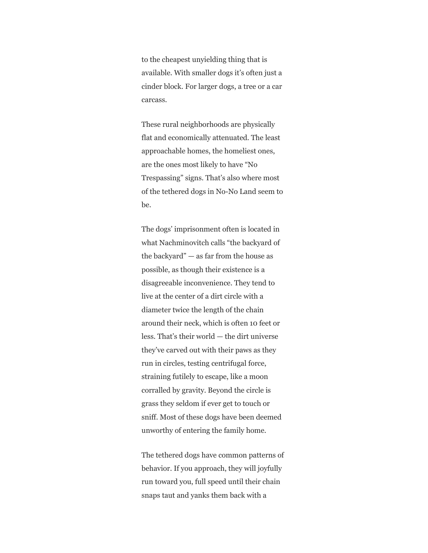to the cheapest unyielding thing that is available. With smaller dogs it's often just a cinder block. For larger dogs, a tree or a car carcass.

These rural neighborhoods are physically flat and economically attenuated. The least approachable homes, the homeliest ones, are the ones most likely to have "No Trespassing" signs. That's also where most of the tethered dogs in No-No Land seem to be.

The dogs' imprisonment often is located in what Nachminovitch calls "the backyard of the backyard"  $-$  as far from the house as possible, as though their existence is a disagreeable inconvenience. They tend to live at the center of a dirt circle with a diameter twice the length of the chain around their neck, which is often 10 feet or less. That's their world — the dirt universe they've carved out with their paws as they run in circles, testing centrifugal force, straining futilely to escape, like a moon corralled by gravity. Beyond the circle is grass they seldom if ever get to touch or sniff. Most of these dogs have been deemed unworthy of entering the family home.

The tethered dogs have common patterns of behavior. If you approach, they will joyfully run toward you, full speed until their chain snaps taut and yanks them back with a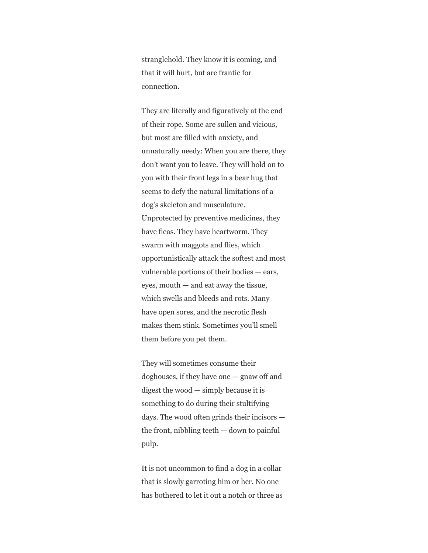stranglehold. They know it is coming, and that it will hurt, but are frantic for connection.

They are literally and figuratively at the end of their rope. Some are sullen and vicious, but most are filled with anxiety, and unnaturally needy: When you are there, they don't want you to leave. They will hold on to you with their front legs in a bear hug that seems to defy the natural limitations of a dog's skeleton and musculature. Unprotected by preventive medicines, they have fleas. They have heartworm. They swarm with maggots and flies, which opportunistically attack the softest and most vulnerable portions of their bodies — ears, eyes, mouth — and eat away the tissue, which swells and bleeds and rots. Many have open sores, and the necrotic flesh makes them stink. Sometimes you'll smell them before you pet them.

They will sometimes consume their doghouses, if they have one — gnaw off and digest the wood — simply because it is something to do during their stultifying days. The wood often grinds their incisors the front, nibbling teeth  $-$  down to painful pulp.

It is not uncommon to find a dog in a collar that is slowly garroting him or her. No one has bothered to let it out a notch or three as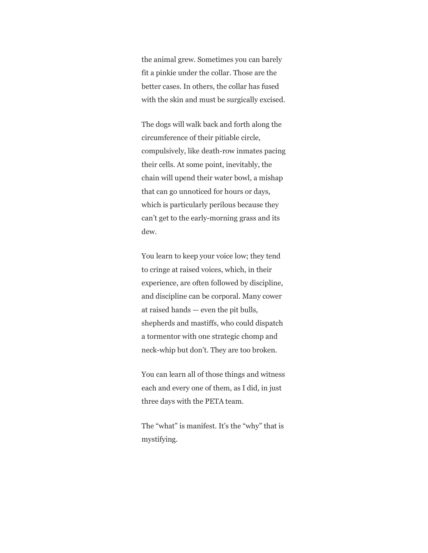the animal grew. Sometimes you can barely fit a pinkie under the collar. Those are the better cases. In others, the collar has fused with the skin and must be surgically excised.

The dogs will walk back and forth along the circumference of their pitiable circle, compulsively, like death-row inmates pacing their cells. At some point, inevitably, the chain will upend their water bowl, a mishap that can go unnoticed for hours or days, which is particularly perilous because they can't get to the early-morning grass and its dew.

You learn to keep your voice low; they tend to cringe at raised voices, which, in their experience, are often followed by discipline, and discipline can be corporal. Many cower at raised hands — even the pit bulls, shepherds and mastiffs, who could dispatch a tormentor with one strategic chomp and neck-whip but don't. They are too broken.

You can learn all of those things and witness each and every one of them, as I did, in just three days with the PETA team.

The "what" is manifest. It's the "why" that is mystifying.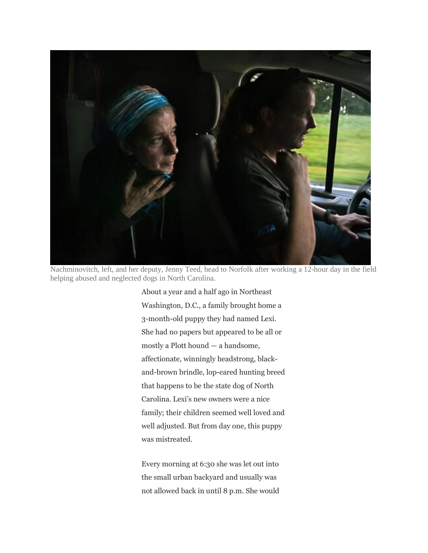

Nachminovitch, left, and her deputy, Jenny Teed, head to Norfolk after working a 12-hour day in the field helping abused and neglected dogs in North Carolina.

About a year and a half ago in Northeast Washington, D.C., a family brought home a 3-month-old puppy they had named Lexi. She had no papers but appeared to be all or mostly a Plott hound — a handsome, affectionate, winningly headstrong, blackand-brown brindle, lop-eared hunting breed that happens to be the state dog of North Carolina. Lexi's new owners were a nice family; their children seemed well loved and well adjusted. But from day one, this puppy was mistreated.

Every morning at 6:30 she was let out into the small urban backyard and usually was not allowed back in until 8 p.m. She would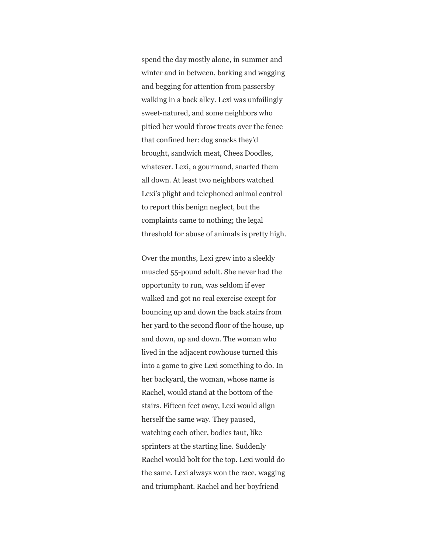spend the day mostly alone, in summer and winter and in between, barking and wagging and begging for attention from passersby walking in a back alley. Lexi was unfailingly sweet-natured, and some neighbors who pitied her would throw treats over the fence that confined her: dog snacks they'd brought, sandwich meat, Cheez Doodles, whatever. Lexi, a gourmand, snarfed them all down. At least two neighbors watched Lexi's plight and telephoned animal control to report this benign neglect, but the complaints came to nothing; the legal threshold for abuse of animals is pretty high.

Over the months, Lexi grew into a sleekly muscled 55-pound adult. She never had the opportunity to run, was seldom if ever walked and got no real exercise except for bouncing up and down the back stairs from her yard to the second floor of the house, up and down, up and down. The woman who lived in the adjacent rowhouse turned this into a game to give Lexi something to do. In her backyard, the woman, whose name is Rachel, would stand at the bottom of the stairs. Fifteen feet away, Lexi would align herself the same way. They paused, watching each other, bodies taut, like sprinters at the starting line. Suddenly Rachel would bolt for the top. Lexi would do the same. Lexi always won the race, wagging and triumphant. Rachel and her boyfriend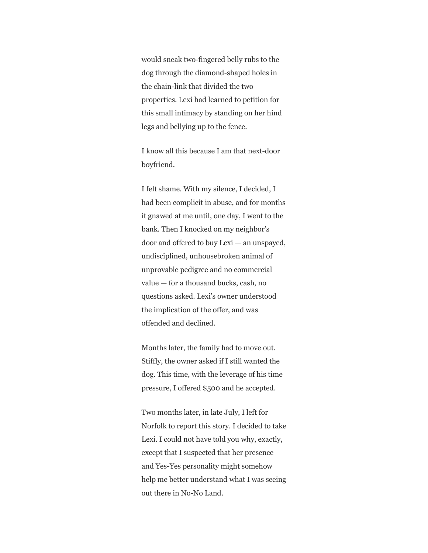would sneak two-fingered belly rubs to the dog through the diamond-shaped holes in the chain-link that divided the two properties. Lexi had learned to petition for this small intimacy by standing on her hind legs and bellying up to the fence.

I know all this because I am that next-door boyfriend.

I felt shame. With my silence, I decided, I had been complicit in abuse, and for months it gnawed at me until, one day, I went to the bank. Then I knocked on my neighbor's door and offered to buy Lexi — an unspayed, undisciplined, unhousebroken animal of unprovable pedigree and no commercial value — for a thousand bucks, cash, no questions asked. Lexi's owner understood the implication of the offer, and was offended and declined.

Months later, the family had to move out. Stiffly, the owner asked if I still wanted the dog. This time, with the leverage of his time pressure, I offered \$500 and he accepted.

Two months later, in late July, I left for Norfolk to report this story. I decided to take Lexi. I could not have told you why, exactly, except that I suspected that her presence and Yes-Yes personality might somehow help me better understand what I was seeing out there in No-No Land.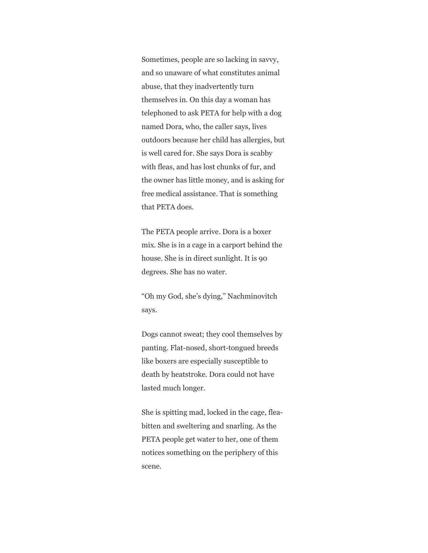Sometimes, people are so lacking in savvy, and so unaware of what constitutes animal abuse, that they inadvertently turn themselves in. On this day a woman has telephoned to ask PETA for help with a dog named Dora, who, the caller says, lives outdoors because her child has allergies, but is well cared for. She says Dora is scabby with fleas, and has lost chunks of fur, and the owner has little money, and is asking for free medical assistance. That is something that PETA does.

The PETA people arrive. Dora is a boxer mix. She is in a cage in a carport behind the house. She is in direct sunlight. It is 90 degrees. She has no water.

"Oh my God, she's dying," Nachminovitch says.

Dogs cannot sweat; they cool themselves by panting. Flat-nosed, short-tongued breeds like boxers are especially susceptible to death by heatstroke. Dora could not have lasted much longer.

She is spitting mad, locked in the cage, fleabitten and sweltering and snarling. As the PETA people get water to her, one of them notices something on the periphery of this scene.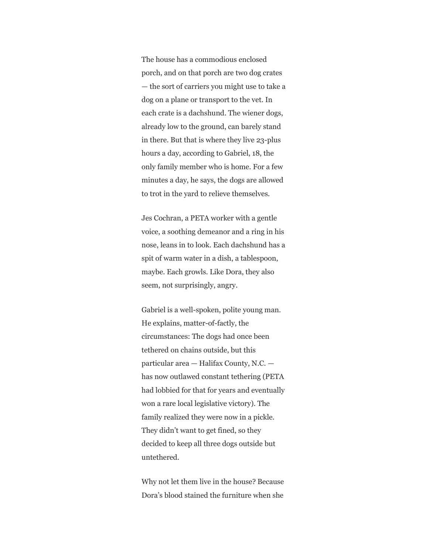The house has a commodious enclosed porch, and on that porch are two dog crates — the sort of carriers you might use to take a dog on a plane or transport to the vet. In each crate is a dachshund. The wiener dogs, already low to the ground, can barely stand in there. But that is where they live 23-plus hours a day, according to Gabriel, 18, the only family member who is home. For a few minutes a day, he says, the dogs are allowed to trot in the yard to relieve themselves.

Jes Cochran, a PETA worker with a gentle voice, a soothing demeanor and a ring in his nose, leans in to look. Each dachshund has a spit of warm water in a dish, a tablespoon, maybe. Each growls. Like Dora, they also seem, not surprisingly, angry.

Gabriel is a well-spoken, polite young man. He explains, matter-of-factly, the circumstances: The dogs had once been tethered on chains outside, but this particular area — Halifax County, N.C. has now outlawed constant tethering (PETA had lobbied for that for years and eventually won a rare local legislative victory). The family realized they were now in a pickle. They didn't want to get fined, so they decided to keep all three dogs outside but untethered.

Why not let them live in the house? Because Dora's blood stained the furniture when she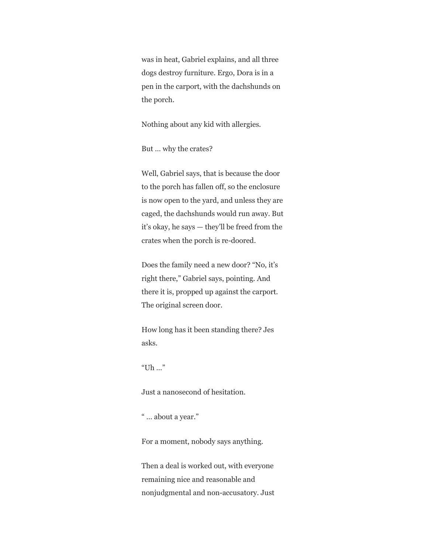was in heat, Gabriel explains, and all three dogs destroy furniture. Ergo, Dora is in a pen in the carport, with the dachshunds on the porch.

Nothing about any kid with allergies.

But … why the crates?

Well, Gabriel says, that is because the door to the porch has fallen off, so the enclosure is now open to the yard, and unless they are caged, the dachshunds would run away. But it's okay, he says — they'll be freed from the crates when the porch is re-doored.

Does the family need a new door? "No, it's right there," Gabriel says, pointing. And there it is, propped up against the carport. The original screen door.

How long has it been standing there? Jes asks.

"Uh …"

Just a nanosecond of hesitation.

" … about a year."

For a moment, nobody says anything.

Then a deal is worked out, with everyone remaining nice and reasonable and nonjudgmental and non-accusatory. Just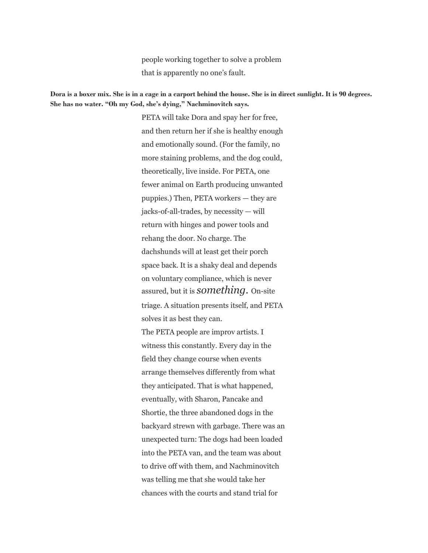people working together to solve a problem that is apparently no one's fault.

### **Dora is a boxer mix. She is in a cage in a carport behind the house. She is in direct sunlight. It is 90 degrees. She has no water. "Oh my God, she's dying," Nachminovitch says.**

PETA will take Dora and spay her for free, and then return her if she is healthy enough and emotionally sound. (For the family, no more staining problems, and the dog could, theoretically, live inside. For PETA, one fewer animal on Earth producing unwanted puppies.) Then, PETA workers — they are jacks-of-all-trades, by necessity — will return with hinges and power tools and rehang the door. No charge. The dachshunds will at least get their porch space back. It is a shaky deal and depends on voluntary compliance, which is never assured, but it is *something.* On-site triage. A situation presents itself, and PETA solves it as best they can. The PETA people are improv artists. I witness this constantly. Every day in the field they change course when events arrange themselves differently from what they anticipated. That is what happened, eventually, with Sharon, Pancake and Shortie, the three abandoned dogs in the backyard strewn with garbage. There was an unexpected turn: The dogs had been loaded into the PETA van, and the team was about to drive off with them, and Nachminovitch was telling me that she would take her chances with the courts and stand trial for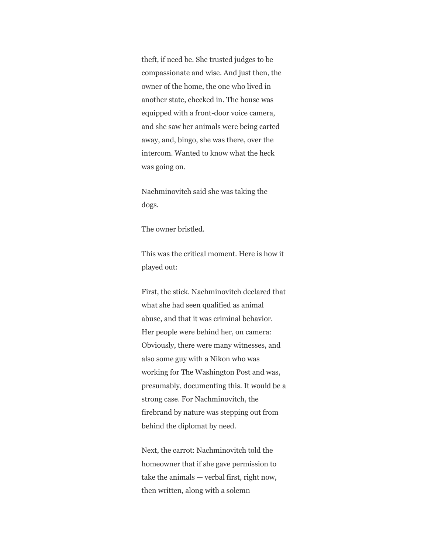theft, if need be. She trusted judges to be compassionate and wise. And just then, the owner of the home, the one who lived in another state, checked in. The house was equipped with a front-door voice camera, and she saw her animals were being carted away, and, bingo, she was there, over the intercom. Wanted to know what the heck was going on.

Nachminovitch said she was taking the dogs.

The owner bristled.

This was the critical moment. Here is how it played out:

First, the stick. Nachminovitch declared that what she had seen qualified as animal abuse, and that it was criminal behavior. Her people were behind her, on camera: Obviously, there were many witnesses, and also some guy with a Nikon who was working for The Washington Post and was, presumably, documenting this. It would be a strong case. For Nachminovitch, the firebrand by nature was stepping out from behind the diplomat by need.

Next, the carrot: Nachminovitch told the homeowner that if she gave permission to take the animals — verbal first, right now, then written, along with a solemn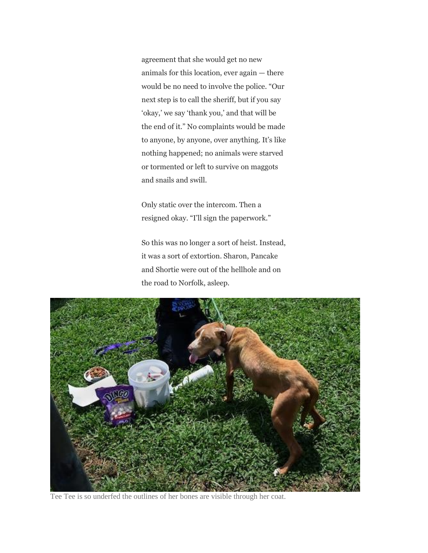agreement that she would get no new animals for this location, ever again — there would be no need to involve the police. "Our next step is to call the sheriff, but if you say 'okay,' we say 'thank you,' and that will be the end of it." No complaints would be made to anyone, by anyone, over anything. It's like nothing happened; no animals were starved or tormented or left to survive on maggots and snails and swill.

Only static over the intercom. Then a resigned okay. "I'll sign the paperwork."

So this was no longer a sort of heist. Instead, it was a sort of extortion. Sharon, Pancake and Shortie were out of the hellhole and on the road to Norfolk, asleep.



Tee Tee is so underfed the outlines of her bones are visible through her coat.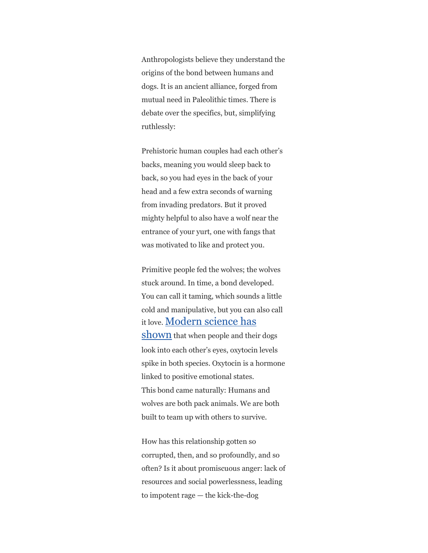Anthropologists believe they understand the origins of the bond between humans and dogs. It is an ancient alliance, forged from mutual need in Paleolithic times. There is debate over the specifics, but, simplifying ruthlessly:

Prehistoric human couples had each other's backs, meaning you would sleep back to back, so you had eyes in the back of your head and a few extra seconds of warning from invading predators. But it proved mighty helpful to also have a wolf near the entrance of your yurt, one with fangs that was motivated to like and protect you.

Primitive people fed the wolves; the wolves stuck around. In time, a bond developed. You can call it taming, which sounds a little cold and manipulative, but you can also call it love. [Modern science has](https://www.science.org/lookup/doi/10.1126/science.1261022)  [shown](https://www.science.org/lookup/doi/10.1126/science.1261022) that when people and their dogs look into each other's eyes, oxytocin levels spike in both species. Oxytocin is a hormone linked to positive emotional states. This bond came naturally: Humans and wolves are both pack animals. We are both built to team up with others to survive.

How has this relationship gotten so corrupted, then, and so profoundly, and so often? Is it about promiscuous anger: lack of resources and social powerlessness, leading to impotent rage — the kick-the-dog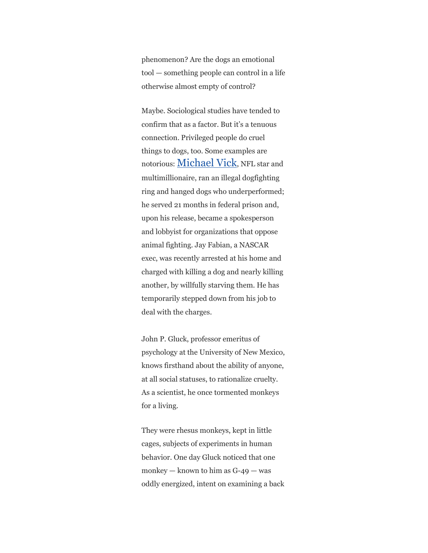phenomenon? Are the dogs an emotional tool — something people can control in a life otherwise almost empty of control?

Maybe. Sociological studies have tended to confirm that as a factor. But it's a tenuous connection. Privileged people do cruel things to dogs, too. Some examples are notorious: [Michael Vick](https://www.washingtonpost.com/sports/2019/09/24/story-behind-story-michael-vicks-dogs/), NFL star and multimillionaire, ran an illegal dogfighting ring and hanged dogs who underperformed; he served 21 months in federal prison and, upon his release, became a spokesperson and lobbyist for organizations that oppose animal fighting. Jay Fabian, a NASCAR exec, was recently arrested at his home and charged with killing a dog and nearly killing another, by willfully starving them. He has temporarily stepped down from his job to deal with the charges.

John P. Gluck, professor emeritus of psychology at the University of New Mexico, knows firsthand about the ability of anyone, at all social statuses, to rationalize cruelty. As a scientist, he once tormented monkeys for a living.

They were rhesus monkeys, kept in little cages, subjects of experiments in human behavior. One day Gluck noticed that one monkey — known to him as  $G-49$  — was oddly energized, intent on examining a back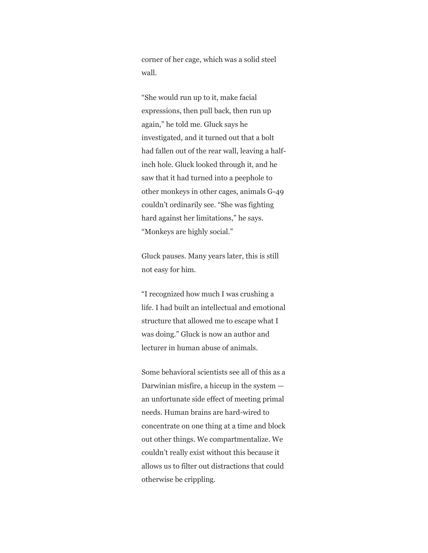corner of her cage, which was a solid steel wall.

"She would run up to it, make facial expressions, then pull back, then run up again," he told me. Gluck says he investigated, and it turned out that a bolt had fallen out of the rear wall, leaving a halfinch hole. Gluck looked through it, and he saw that it had turned into a peephole to other monkeys in other cages, animals G-49 couldn't ordinarily see. "She was fighting hard against her limitations," he says. "Monkeys are highly social."

Gluck pauses. Many years later, this is still not easy for him.

"I recognized how much I was crushing a life. I had built an intellectual and emotional structure that allowed me to escape what I was doing." Gluck is now an author and lecturer in human abuse of animals.

Some behavioral scientists see all of this as a Darwinian misfire, a hiccup in the system an unfortunate side effect of meeting primal needs. Human brains are hard-wired to concentrate on one thing at a time and block out other things. We compartmentalize. We couldn't really exist without this because it allows us to filter out distractions that could otherwise be crippling.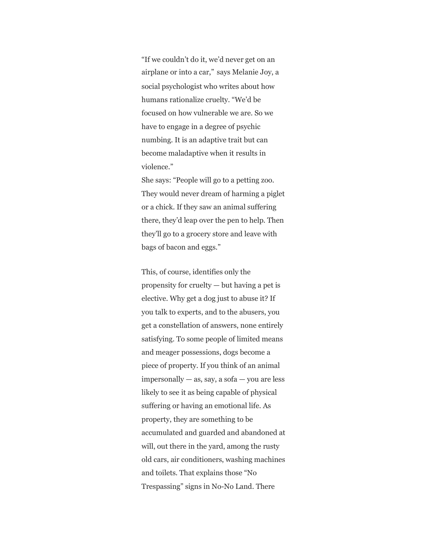"If we couldn't do it, we'd never get on an airplane or into a car," says Melanie Joy, a social psychologist who writes about how humans rationalize cruelty. "We'd be focused on how vulnerable we are. So we have to engage in a degree of psychic numbing. It is an adaptive trait but can become maladaptive when it results in violence."

She says: "People will go to a petting zoo. They would never dream of harming a piglet or a chick. If they saw an animal suffering there, they'd leap over the pen to help. Then they'll go to a grocery store and leave with bags of bacon and eggs."

This, of course, identifies only the propensity for cruelty — but having a pet is elective. Why get a dog just to abuse it? If you talk to experts, and to the abusers, you get a constellation of answers, none entirely satisfying. To some people of limited means and meager possessions, dogs become a piece of property. If you think of an animal  $impersonally - as$ , say, a sofa  $-$  you are less likely to see it as being capable of physical suffering or having an emotional life. As property, they are something to be accumulated and guarded and abandoned at will, out there in the yard, among the rusty old cars, air conditioners, washing machines and toilets. That explains those "No Trespassing" signs in No-No Land. There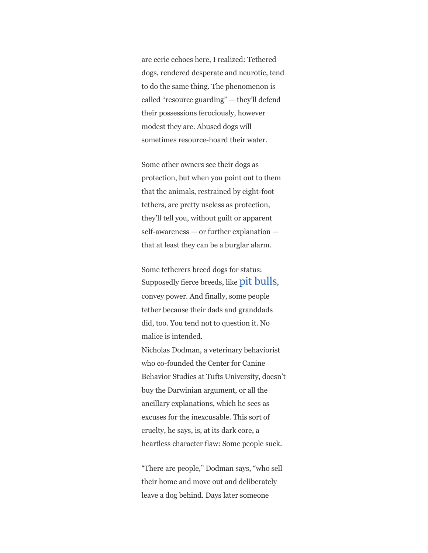are eerie echoes here, I realized: Tethered dogs, rendered desperate and neurotic, tend to do the same thing. The phenomenon is called "resource guarding" — they'll defend their possessions ferociously, however modest they are. Abused dogs will sometimes resource-hoard their water.

Some other owners see their dogs as protection, but when you point out to them that the animals, restrained by eight-foot tethers, are pretty useless as protection, they'll tell you, without guilt or apparent self-awareness — or further explanation that at least they can be a burglar alarm.

Some tetherers breed dogs for status: Supposedly fierce breeds, like **[pit bulls](https://www.washingtonpost.com/photography/2021/04/19/gameness-sport-that-harnesses-power-pit-bull/)**, convey power. And finally, some people tether because their dads and granddads did, too. You tend not to question it. No malice is intended.

Nicholas Dodman, a veterinary behaviorist who co-founded the Center for Canine Behavior Studies at Tufts University, doesn't buy the Darwinian argument, or all the ancillary explanations, which he sees as excuses for the inexcusable. This sort of cruelty, he says, is, at its dark core, a heartless character flaw: Some people suck.

"There are people," Dodman says, "who sell their home and move out and deliberately leave a dog behind. Days later someone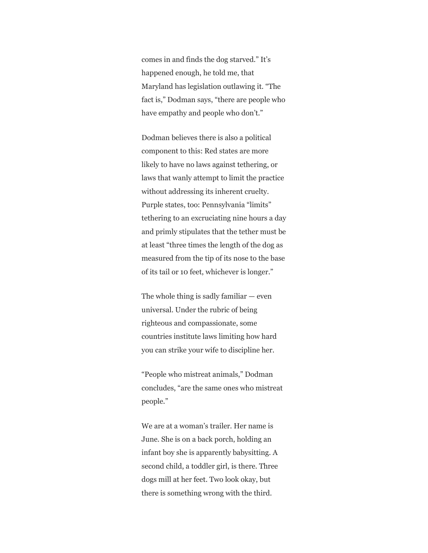comes in and finds the dog starved." It's happened enough, he told me, that Maryland has legislation outlawing it. "The fact is," Dodman says, "there are people who have empathy and people who don't."

Dodman believes there is also a political component to this: Red states are more likely to have no laws against tethering, or laws that wanly attempt to limit the practice without addressing its inherent cruelty. Purple states, too: Pennsylvania "limits" tethering to an excruciating nine hours a day and primly stipulates that the tether must be at least "three times the length of the dog as measured from the tip of its nose to the base of its tail or 10 feet, whichever is longer."

The whole thing is sadly familiar  $-$  even universal. Under the rubric of being righteous and compassionate, some countries institute laws limiting how hard you can strike your wife to discipline her.

"People who mistreat animals," Dodman concludes, "are the same ones who mistreat people."

We are at a woman's trailer. Her name is June. She is on a back porch, holding an infant boy she is apparently babysitting. A second child, a toddler girl, is there. Three dogs mill at her feet. Two look okay, but there is something wrong with the third.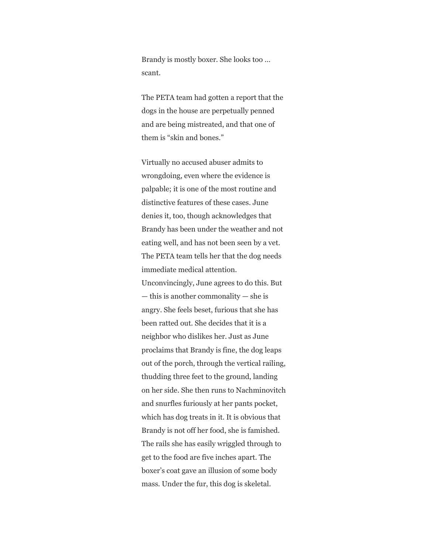Brandy is mostly boxer. She looks too … scant.

The PETA team had gotten a report that the dogs in the house are perpetually penned and are being mistreated, and that one of them is "skin and bones."

Virtually no accused abuser admits to wrongdoing, even where the evidence is palpable; it is one of the most routine and distinctive features of these cases. June denies it, too, though acknowledges that Brandy has been under the weather and not eating well, and has not been seen by a vet. The PETA team tells her that the dog needs immediate medical attention. Unconvincingly, June agrees to do this. But — this is another commonality — she is angry. She feels beset, furious that she has been ratted out. She decides that it is a neighbor who dislikes her. Just as June proclaims that Brandy is fine, the dog leaps out of the porch, through the vertical railing, thudding three feet to the ground, landing on her side. She then runs to Nachminovitch and snurfles furiously at her pants pocket, which has dog treats in it. It is obvious that Brandy is not off her food, she is famished. The rails she has easily wriggled through to get to the food are five inches apart. The boxer's coat gave an illusion of some body mass. Under the fur, this dog is skeletal.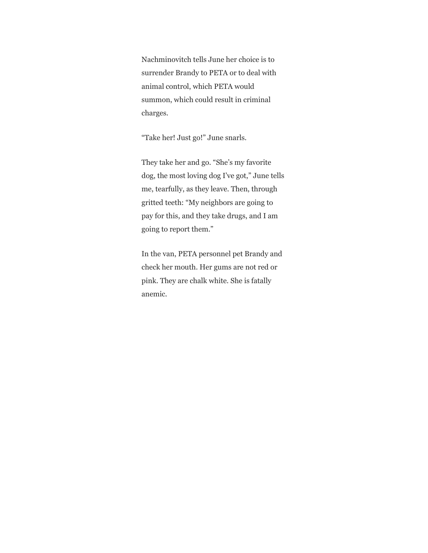Nachminovitch tells June her choice is to surrender Brandy to PETA or to deal with animal control, which PETA would summon, which could result in criminal charges.

"Take her! Just go!" June snarls.

They take her and go. "She's my favorite dog, the most loving dog I've got," June tells me, tearfully, as they leave. Then, through gritted teeth: "My neighbors are going to pay for this, and they take drugs, and I am going to report them."

In the van, PETA personnel pet Brandy and check her mouth. Her gums are not red or pink. They are chalk white. She is fatally anemic.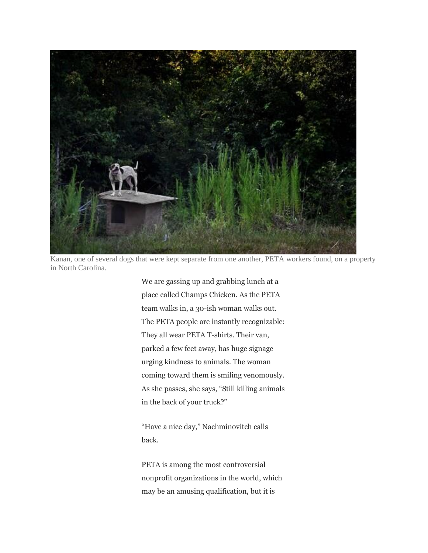

Kanan, one of several dogs that were kept separate from one another, PETA workers found, on a property in North Carolina.

We are gassing up and grabbing lunch at a place called Champs Chicken. As the PETA team walks in, a 30-ish woman walks out. The PETA people are instantly recognizable: They all wear PETA T-shirts. Their van, parked a few feet away, has huge signage urging kindness to animals. The woman coming toward them is smiling venomously. As she passes, she says, "Still killing animals in the back of your truck?"

"Have a nice day," Nachminovitch calls back.

PETA is among the most controversial nonprofit organizations in the world, which may be an amusing qualification, but it is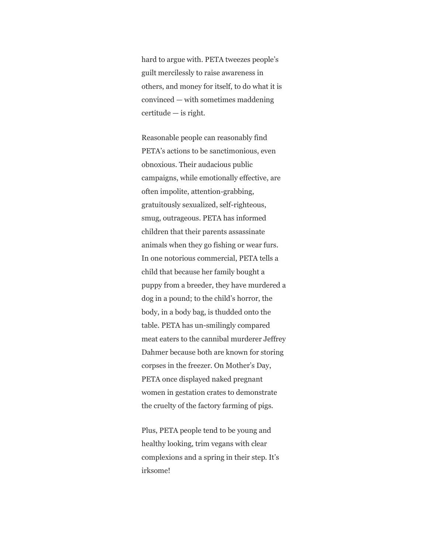hard to argue with. PETA tweezes people's guilt mercilessly to raise awareness in others, and money for itself, to do what it is convinced — with sometimes maddening certitude — is right.

Reasonable people can reasonably find PETA's actions to be sanctimonious, even obnoxious. Their audacious public campaigns, while emotionally effective, are often impolite, attention-grabbing, gratuitously sexualized, self-righteous, smug, outrageous. PETA has informed children that their parents assassinate animals when they go fishing or wear furs. In one notorious commercial, PETA tells a child that because her family bought a puppy from a breeder, they have murdered a dog in a pound; to the child's horror, the body, in a body bag, is thudded onto the table. PETA has un-smilingly compared meat eaters to the cannibal murderer Jeffrey Dahmer because both are known for storing corpses in the freezer. On Mother's Day, PETA once displayed naked pregnant women in gestation crates to demonstrate the cruelty of the factory farming of pigs.

Plus, PETA people tend to be young and healthy looking, trim vegans with clear complexions and a spring in their step. It's irksome!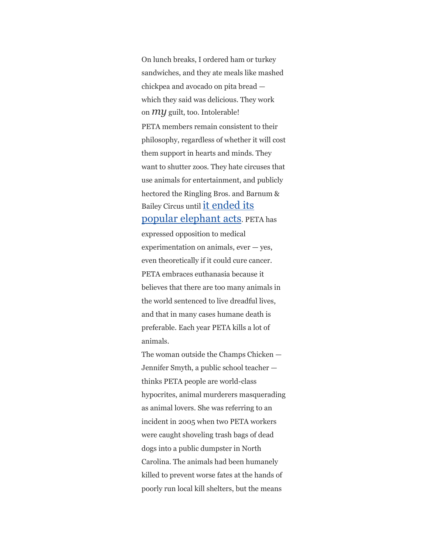On lunch breaks, I ordered ham or turkey sandwiches, and they ate meals like mashed chickpea and avocado on pita bread which they said was delicious. They work on *my* guilt, too. Intolerable! PETA members remain consistent to their philosophy, regardless of whether it will cost them support in hearts and minds. They want to shutter zoos. They hate circuses that use animals for entertainment, and publicly hectored the Ringling Bros. and Barnum & Bailey Circus until [it ended its](https://www.washingtonpost.com/sf/style/2016/10/27/the-big-exit/?hpid=hp_rhp-top-table-main_elephants-935a%3Ahomepage%2Fstory)  [popular elephant acts](https://www.washingtonpost.com/sf/style/2016/10/27/the-big-exit/?hpid=hp_rhp-top-table-main_elephants-935a%3Ahomepage%2Fstory). PETA has expressed opposition to medical experimentation on animals,  $ever - yes$ , even theoretically if it could cure cancer. PETA embraces euthanasia because it believes that there are too many animals in the world sentenced to live dreadful lives, and that in many cases humane death is preferable. Each year PETA kills a lot of animals.

The woman outside the Champs Chicken — Jennifer Smyth, a public school teacher thinks PETA people are world-class hypocrites, animal murderers masquerading as animal lovers. She was referring to an incident in 2005 when two PETA workers were caught shoveling trash bags of dead dogs into a public dumpster in North Carolina. The animals had been humanely killed to prevent worse fates at the hands of poorly run local kill shelters, but the means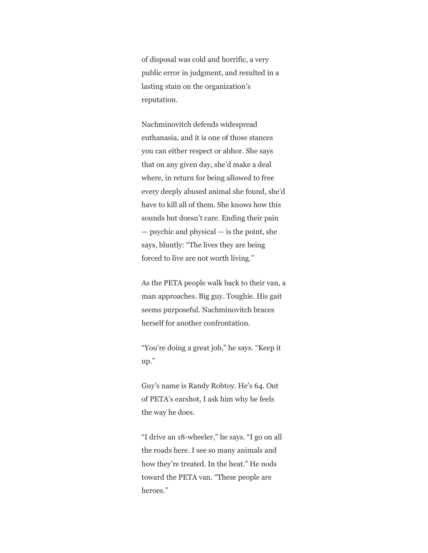of disposal was cold and horrific, a very public error in judgment, and resulted in a lasting stain on the organization's reputation.

Nachminovitch defends widespread euthanasia, and it is one of those stances you can either respect or abhor. She says that on any given day, she'd make a deal where, in return for being allowed to free every deeply abused animal she found, she'd have to kill all of them. She knows how this sounds but doesn't care. Ending their pain — psychic and physical — is the point, she says, bluntly: "The lives they are being forced to live are not worth living."

As the PETA people walk back to their van, a man approaches. Big guy. Toughie. His gait seems purposeful. Nachminovitch braces herself for another confrontation.

"You're doing a great job," he says. "Keep it up."

Guy's name is Randy Robtoy. He's 64. Out of PETA's earshot, I ask him why he feels the way he does.

"I drive an 18-wheeler," he says. "I go on all the roads here. I see so many animals and how they're treated. In the heat." He nods toward the PETA van. "These people are heroes."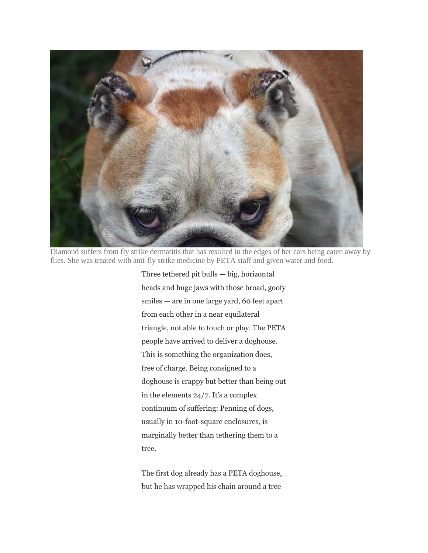

Diamond suffers from fly strike dermatitis that has resulted in the edges of her ears being eaten away by flies. She was treated with anti-fly strike medicine by PETA staff and given water and food.

Three tethered pit bulls — big, horizontal heads and huge jaws with those broad, goofy smiles — are in one large yard, 60 feet apart from each other in a near equilateral triangle, not able to touch or play. The PETA people have arrived to deliver a doghouse. This is something the organization does, free of charge. Being consigned to a doghouse is crappy but better than being out in the elements 24/7. It's a complex continuum of suffering: Penning of dogs, usually in 10-foot-square enclosures, is marginally better than tethering them to a tree.

The first dog already has a PETA doghouse, but he has wrapped his chain around a tree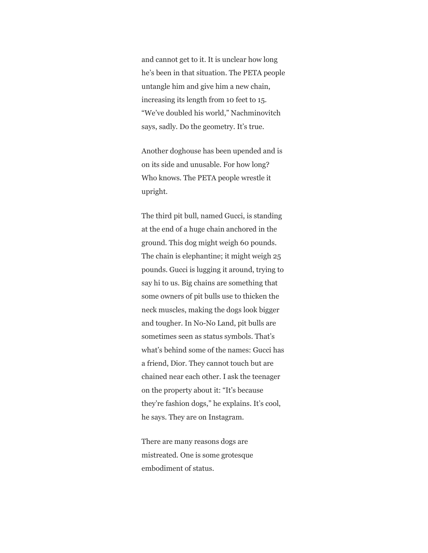and cannot get to it. It is unclear how long he's been in that situation. The PETA people untangle him and give him a new chain, increasing its length from 10 feet to 15. "We've doubled his world," Nachminovitch says, sadly. Do the geometry. It's true.

Another doghouse has been upended and is on its side and unusable. For how long? Who knows. The PETA people wrestle it upright.

The third pit bull, named Gucci, is standing at the end of a huge chain anchored in the ground. This dog might weigh 60 pounds. The chain is elephantine; it might weigh 25 pounds. Gucci is lugging it around, trying to say hi to us. Big chains are something that some owners of pit bulls use to thicken the neck muscles, making the dogs look bigger and tougher. In No-No Land, pit bulls are sometimes seen as status symbols. That's what's behind some of the names: Gucci has a friend, Dior. They cannot touch but are chained near each other. I ask the teenager on the property about it: "It's because they're fashion dogs," he explains. It's cool, he says. They are on Instagram.

There are many reasons dogs are mistreated. One is some grotesque embodiment of status.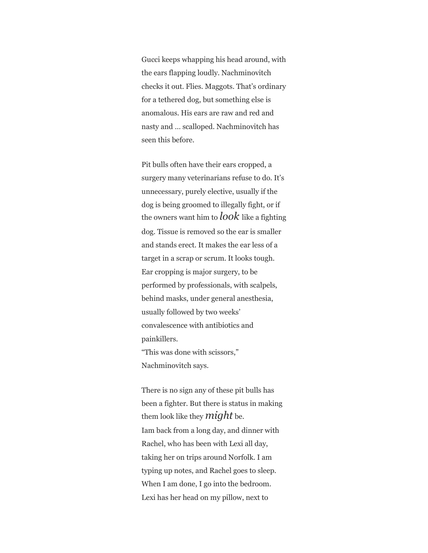Gucci keeps whapping his head around, with the ears flapping loudly. Nachminovitch checks it out. Flies. Maggots. That's ordinary for a tethered dog, but something else is anomalous. His ears are raw and red and nasty and … scalloped. Nachminovitch has seen this before.

Pit bulls often have their ears cropped, a surgery many veterinarians refuse to do. It's unnecessary, purely elective, usually if the dog is being groomed to illegally fight, or if the owners want him to *look* like a fighting dog. Tissue is removed so the ear is smaller and stands erect. It makes the ear less of a target in a scrap or scrum. It looks tough. Ear cropping is major surgery, to be performed by professionals, with scalpels, behind masks, under general anesthesia, usually followed by two weeks' convalescence with antibiotics and painkillers. "This was done with scissors," Nachminovitch says.

There is no sign any of these pit bulls has been a fighter. But there is status in making them look like they *might* be. Iam back from a long day, and dinner with Rachel, who has been with Lexi all day, taking her on trips around Norfolk. I am typing up notes, and Rachel goes to sleep. When I am done, I go into the bedroom. Lexi has her head on my pillow, next to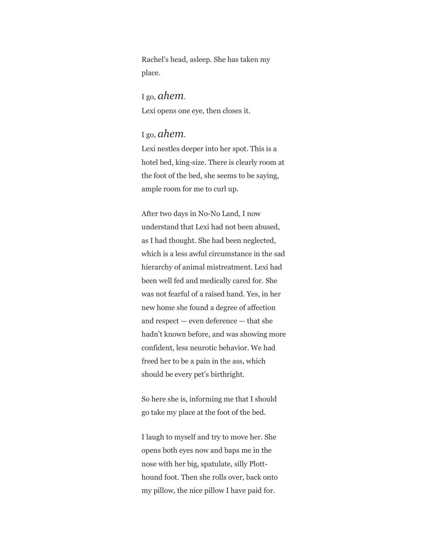Rachel's head, asleep. She has taken my place.

I go, *ahem*. Lexi opens one eye, then closes it.

## I go, *ahem*.

Lexi nestles deeper into her spot. This is a hotel bed, king-size. There is clearly room at the foot of the bed, she seems to be saying, ample room for me to curl up.

After two days in No-No Land, I now understand that Lexi had not been abused, as I had thought. She had been neglected, which is a less awful circumstance in the sad hierarchy of animal mistreatment. Lexi had been well fed and medically cared for. She was not fearful of a raised hand. Yes, in her new home she found a degree of affection and respect — even deference — that she hadn't known before, and was showing more confident, less neurotic behavior. We had freed her to be a pain in the ass, which should be every pet's birthright.

So here she is, informing me that I should go take my place at the foot of the bed.

I laugh to myself and try to move her. She opens both eyes now and baps me in the nose with her big, spatulate, silly Plotthound foot. Then she rolls over, back onto my pillow, the nice pillow I have paid for.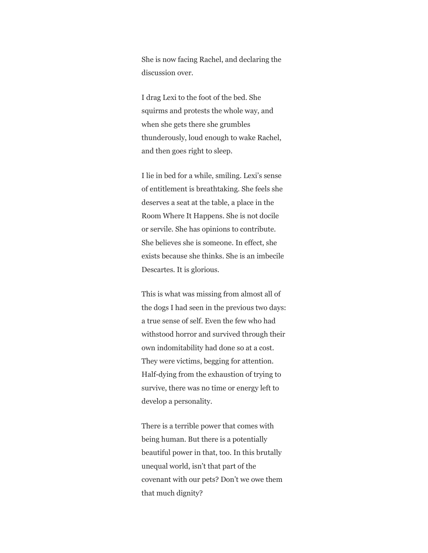She is now facing Rachel, and declaring the discussion over.

I drag Lexi to the foot of the bed. She squirms and protests the whole way, and when she gets there she grumbles thunderously, loud enough to wake Rachel, and then goes right to sleep.

I lie in bed for a while, smiling. Lexi's sense of entitlement is breathtaking. She feels she deserves a seat at the table, a place in the Room Where It Happens. She is not docile or servile. She has opinions to contribute. She believes she is someone. In effect, she exists because she thinks. She is an imbecile Descartes. It is glorious.

This is what was missing from almost all of the dogs I had seen in the previous two days: a true sense of self. Even the few who had withstood horror and survived through their own indomitability had done so at a cost. They were victims, begging for attention. Half-dying from the exhaustion of trying to survive, there was no time or energy left to develop a personality.

There is a terrible power that comes with being human. But there is a potentially beautiful power in that, too. In this brutally unequal world, isn't that part of the covenant with our pets? Don't we owe them that much dignity?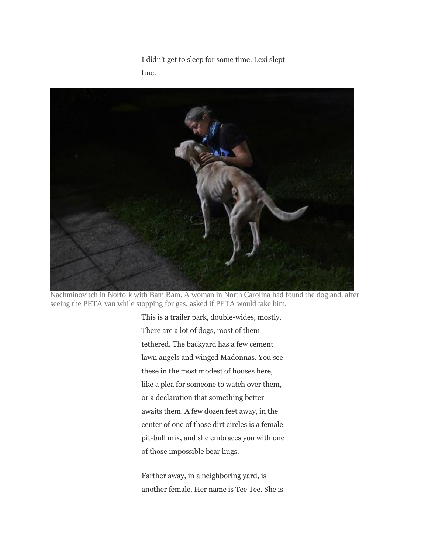I didn't get to sleep for some time. Lexi slept fine.



Nachminovitch in Norfolk with Bam Bam. A woman in North Carolina had found the dog and, after seeing the PETA van while stopping for gas, asked if PETA would take him.

This is a trailer park, double-wides, mostly. There are a lot of dogs, most of them tethered. The backyard has a few cement lawn angels and winged Madonnas. You see these in the most modest of houses here, like a plea for someone to watch over them, or a declaration that something better awaits them. A few dozen feet away, in the center of one of those dirt circles is a female pit-bull mix, and she embraces you with one of those impossible bear hugs.

Farther away, in a neighboring yard, is another female. Her name is Tee Tee. She is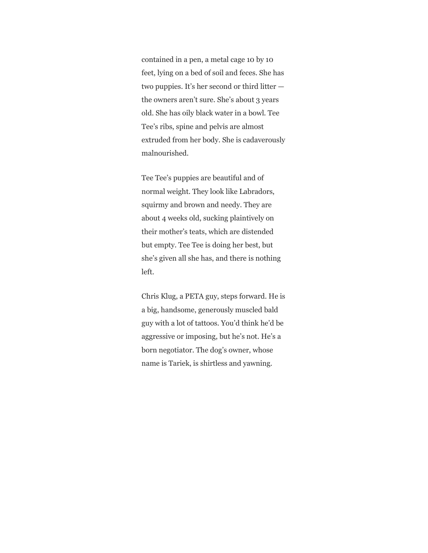contained in a pen, a metal cage 10 by 10 feet, lying on a bed of soil and feces. She has two puppies. It's her second or third litter the owners aren't sure. She's about 3 years old. She has oily black water in a bowl. Tee Tee's ribs, spine and pelvis are almost extruded from her body. She is cadaverously malnourished.

Tee Tee's puppies are beautiful and of normal weight. They look like Labradors, squirmy and brown and needy. They are about 4 weeks old, sucking plaintively on their mother's teats, which are distended but empty. Tee Tee is doing her best, but she's given all she has, and there is nothing left.

Chris Klug, a PETA guy, steps forward. He is a big, handsome, generously muscled bald guy with a lot of tattoos. You'd think he'd be aggressive or imposing, but he's not. He's a born negotiator. The dog's owner, whose name is Tariek, is shirtless and yawning.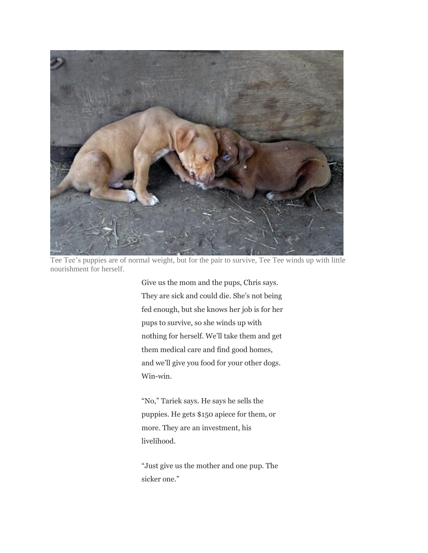

Tee Tee's puppies are of normal weight, but for the pair to survive, Tee Tee winds up with little nourishment for herself.

Give us the mom and the pups, Chris says. They are sick and could die. She's not being fed enough, but she knows her job is for her pups to survive, so she winds up with nothing for herself. We'll take them and get them medical care and find good homes, and we'll give you food for your other dogs. Win-win.

"No," Tariek says. He says he sells the puppies. He gets \$150 apiece for them, or more. They are an investment, his livelihood.

"Just give us the mother and one pup. The sicker one."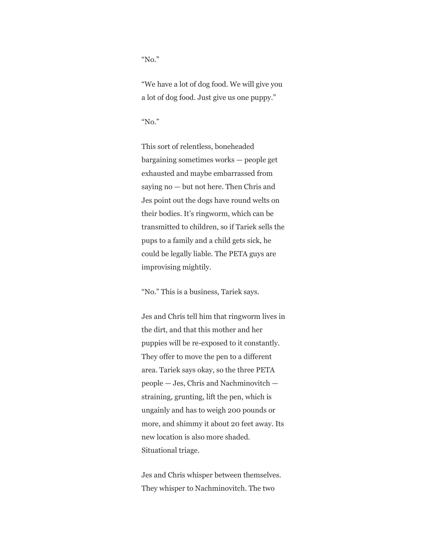"No."

"We have a lot of dog food. We will give you a lot of dog food. Just give us one puppy."

"No."

This sort of relentless, boneheaded bargaining sometimes works — people get exhausted and maybe embarrassed from saying no — but not here. Then Chris and Jes point out the dogs have round welts on their bodies. It's ringworm, which can be transmitted to children, so if Tariek sells the pups to a family and a child gets sick, he could be legally liable. The PETA guys are improvising mightily.

"No." This is a business, Tariek says.

Jes and Chris tell him that ringworm lives in the dirt, and that this mother and her puppies will be re-exposed to it constantly. They offer to move the pen to a different area. Tariek says okay, so the three PETA people — Jes, Chris and Nachminovitch straining, grunting, lift the pen, which is ungainly and has to weigh 200 pounds or more, and shimmy it about 20 feet away. Its new location is also more shaded. Situational triage.

Jes and Chris whisper between themselves. They whisper to Nachminovitch. The two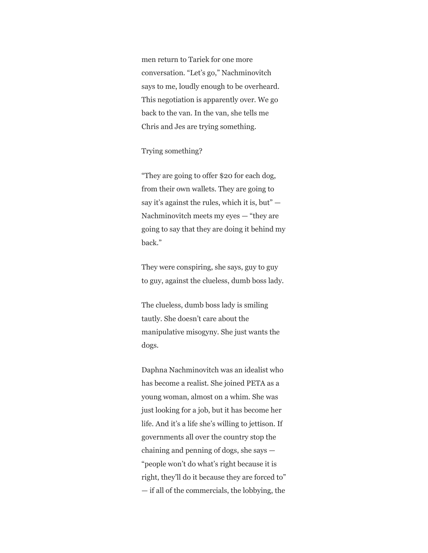men return to Tariek for one more conversation. "Let's go," Nachminovitch says to me, loudly enough to be overheard. This negotiation is apparently over. We go back to the van. In the van, she tells me Chris and Jes are trying something.

#### Trying something?

"They are going to offer \$20 for each dog, from their own wallets. They are going to say it's against the rules, which it is, but" — Nachminovitch meets my eyes — "they are going to say that they are doing it behind my back."

They were conspiring, she says, guy to guy to guy, against the clueless, dumb boss lady.

The clueless, dumb boss lady is smiling tautly. She doesn't care about the manipulative misogyny. She just wants the dogs.

Daphna Nachminovitch was an idealist who has become a realist. She joined PETA as a young woman, almost on a whim. She was just looking for a job, but it has become her life. And it's a life she's willing to jettison. If governments all over the country stop the chaining and penning of dogs, she says — "people won't do what's right because it is right, they'll do it because they are forced to" — if all of the commercials, the lobbying, the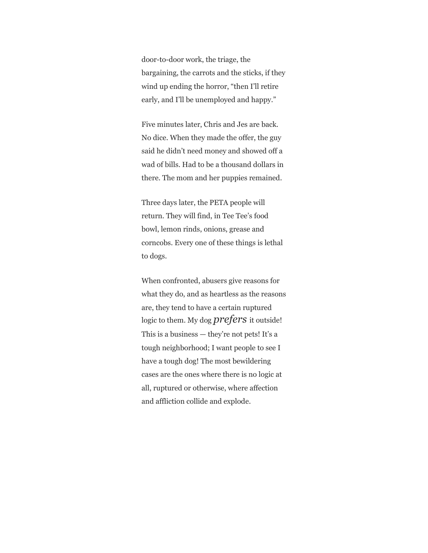door-to-door work, the triage, the bargaining, the carrots and the sticks, if they wind up ending the horror, "then I'll retire early, and I'll be unemployed and happy."

Five minutes later, Chris and Jes are back. No dice. When they made the offer, the guy said he didn't need money and showed off a wad of bills. Had to be a thousand dollars in there. The mom and her puppies remained.

Three days later, the PETA people will return. They will find, in Tee Tee's food bowl, lemon rinds, onions, grease and corncobs. Every one of these things is lethal to dogs.

When confronted, abusers give reasons for what they do, and as heartless as the reasons are, they tend to have a certain ruptured logic to them. My dog *prefers* it outside! This is a business — they're not pets! It's a tough neighborhood; I want people to see I have a tough dog! The most bewildering cases are the ones where there is no logic at all, ruptured or otherwise, where affection and affliction collide and explode.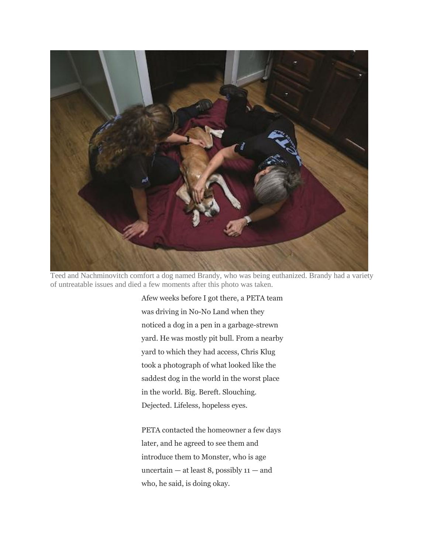

Teed and Nachminovitch comfort a dog named Brandy, who was being euthanized. Brandy had a variety of untreatable issues and died a few moments after this photo was taken.

Afew weeks before I got there, a PETA team was driving in No-No Land when they noticed a dog in a pen in a garbage-strewn yard. He was mostly pit bull. From a nearby yard to which they had access, Chris Klug took a photograph of what looked like the saddest dog in the world in the worst place in the world. Big. Bereft. Slouching. Dejected. Lifeless, hopeless eyes.

PETA contacted the homeowner a few days later, and he agreed to see them and introduce them to Monster, who is age uncertain  $-$  at least 8, possibly  $11 -$  and who, he said, is doing okay.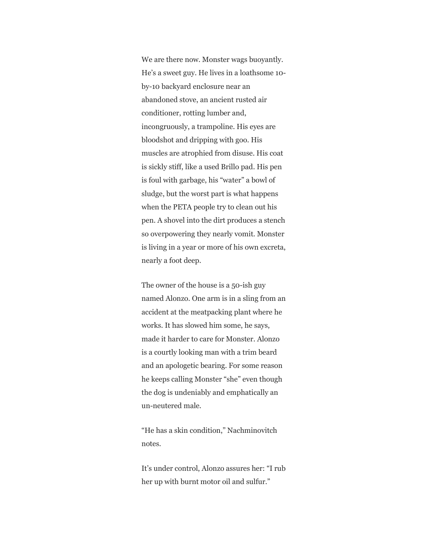We are there now. Monster wags buoyantly. He's a sweet guy. He lives in a loathsome 10 by-10 backyard enclosure near an abandoned stove, an ancient rusted air conditioner, rotting lumber and, incongruously, a trampoline. His eyes are bloodshot and dripping with goo. His muscles are atrophied from disuse. His coat is sickly stiff, like a used Brillo pad. His pen is foul with garbage, his "water" a bowl of sludge, but the worst part is what happens when the PETA people try to clean out his pen. A shovel into the dirt produces a stench so overpowering they nearly vomit. Monster is living in a year or more of his own excreta, nearly a foot deep.

The owner of the house is a 50-ish guy named Alonzo. One arm is in a sling from an accident at the meatpacking plant where he works. It has slowed him some, he says, made it harder to care for Monster. Alonzo is a courtly looking man with a trim beard and an apologetic bearing. For some reason he keeps calling Monster "she" even though the dog is undeniably and emphatically an un-neutered male.

"He has a skin condition," Nachminovitch notes.

It's under control, Alonzo assures her: "I rub her up with burnt motor oil and sulfur."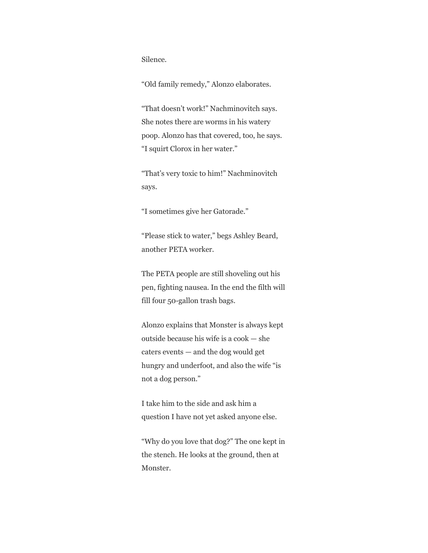Silence.

"Old family remedy," Alonzo elaborates.

"That doesn't work!" Nachminovitch says. She notes there are worms in his watery poop. Alonzo has that covered, too, he says. "I squirt Clorox in her water."

"That's very toxic to him!" Nachminovitch says.

"I sometimes give her Gatorade."

"Please stick to water," begs Ashley Beard, another PETA worker.

The PETA people are still shoveling out his pen, fighting nausea. In the end the filth will fill four 50-gallon trash bags.

Alonzo explains that Monster is always kept outside because his wife is a cook — she caters events — and the dog would get hungry and underfoot, and also the wife "is not a dog person."

I take him to the side and ask him a question I have not yet asked anyone else.

"Why do you love that dog?" The one kept in the stench. He looks at the ground, then at Monster.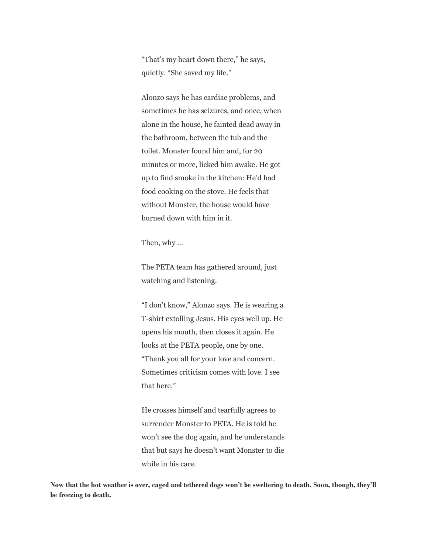"That's my heart down there," he says, quietly. "She saved my life."

Alonzo says he has cardiac problems, and sometimes he has seizures, and once, when alone in the house, he fainted dead away in the bathroom, between the tub and the toilet. Monster found him and, for 20 minutes or more, licked him awake. He got up to find smoke in the kitchen: He'd had food cooking on the stove. He feels that without Monster, the house would have burned down with him in it.

Then, why …

The PETA team has gathered around, just watching and listening.

"I don't know," Alonzo says. He is wearing a T-shirt extolling Jesus. His eyes well up. He opens his mouth, then closes it again. He looks at the PETA people, one by one. "Thank you all for your love and concern. Sometimes criticism comes with love. I see that here."

He crosses himself and tearfully agrees to surrender Monster to PETA. He is told he won't see the dog again, and he understands that but says he doesn't want Monster to die while in his care.

**Now that the hot weather is over, caged and tethered dogs won't be sweltering to death. Soon, though, they'll be freezing to death.**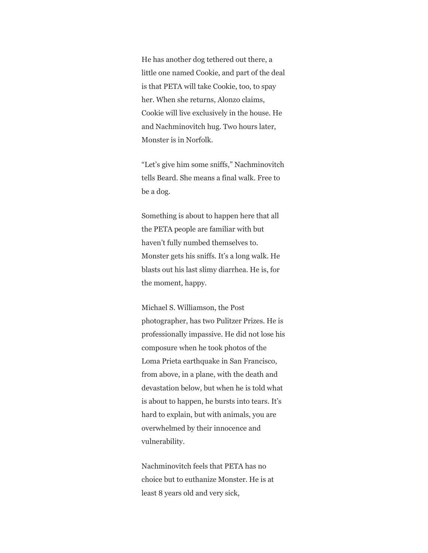He has another dog tethered out there, a little one named Cookie, and part of the deal is that PETA will take Cookie, too, to spay her. When she returns, Alonzo claims, Cookie will live exclusively in the house. He and Nachminovitch hug. Two hours later, Monster is in Norfolk.

"Let's give him some sniffs," Nachminovitch tells Beard. She means a final walk. Free to be a dog.

Something is about to happen here that all the PETA people are familiar with but haven't fully numbed themselves to. Monster gets his sniffs. It's a long walk. He blasts out his last slimy diarrhea. He is, for the moment, happy.

Michael S. Williamson, the Post photographer, has two Pulitzer Prizes. He is professionally impassive. He did not lose his composure when he took photos of the Loma Prieta earthquake in San Francisco, from above, in a plane, with the death and devastation below, but when he is told what is about to happen, he bursts into tears. It's hard to explain, but with animals, you are overwhelmed by their innocence and vulnerability.

Nachminovitch feels that PETA has no choice but to euthanize Monster. He is at least 8 years old and very sick,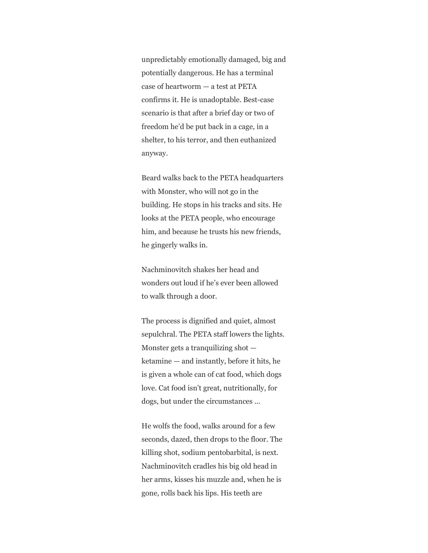unpredictably emotionally damaged, big and potentially dangerous. He has a terminal case of heartworm — a test at PETA confirms it. He is unadoptable. Best-case scenario is that after a brief day or two of freedom he'd be put back in a cage, in a shelter, to his terror, and then euthanized anyway.

Beard walks back to the PETA headquarters with Monster, who will not go in the building. He stops in his tracks and sits. He looks at the PETA people, who encourage him, and because he trusts his new friends, he gingerly walks in.

Nachminovitch shakes her head and wonders out loud if he's ever been allowed to walk through a door.

The process is dignified and quiet, almost sepulchral. The PETA staff lowers the lights. Monster gets a tranquilizing shot ketamine — and instantly, before it hits, he is given a whole can of cat food, which dogs love. Cat food isn't great, nutritionally, for dogs, but under the circumstances ...

He wolfs the food, walks around for a few seconds, dazed, then drops to the floor. The killing shot, sodium pentobarbital, is next. Nachminovitch cradles his big old head in her arms, kisses his muzzle and, when he is gone, rolls back his lips. His teeth are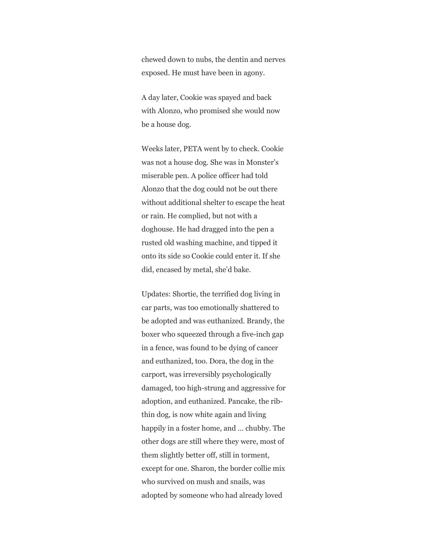chewed down to nubs, the dentin and nerves exposed. He must have been in agony.

A day later, Cookie was spayed and back with Alonzo, who promised she would now be a house dog.

Weeks later, PETA went by to check. Cookie was not a house dog. She was in Monster's miserable pen. A police officer had told Alonzo that the dog could not be out there without additional shelter to escape the heat or rain. He complied, but not with a doghouse. He had dragged into the pen a rusted old washing machine, and tipped it onto its side so Cookie could enter it. If she did, encased by metal, she'd bake.

Updates: Shortie, the terrified dog living in car parts, was too emotionally shattered to be adopted and was euthanized. Brandy, the boxer who squeezed through a five-inch gap in a fence, was found to be dying of cancer and euthanized, too. Dora, the dog in the carport, was irreversibly psychologically damaged, too high-strung and aggressive for adoption, and euthanized. Pancake, the ribthin dog, is now white again and living happily in a foster home, and … chubby. The other dogs are still where they were, most of them slightly better off, still in torment, except for one. Sharon, the border collie mix who survived on mush and snails, was adopted by someone who had already loved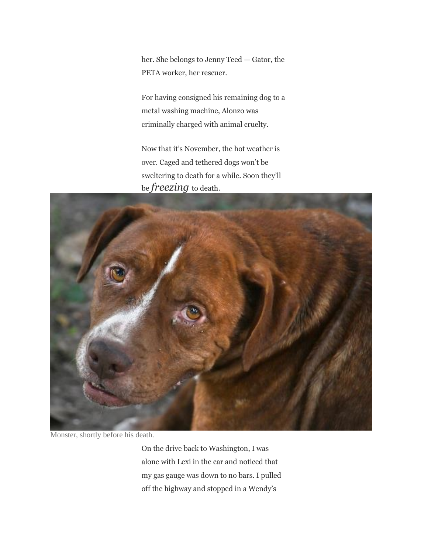her. She belongs to Jenny Teed — Gator, the PETA worker, her rescuer.

For having consigned his remaining dog to a metal washing machine, Alonzo was criminally charged with animal cruelty.

Now that it's November, the hot weather is over. Caged and tethered dogs won't be sweltering to death for a while. Soon they'll be *freezing* to death.



Monster, shortly before his death.

On the drive back to Washington, I was alone with Lexi in the car and noticed that my gas gauge was down to no bars. I pulled off the highway and stopped in a Wendy's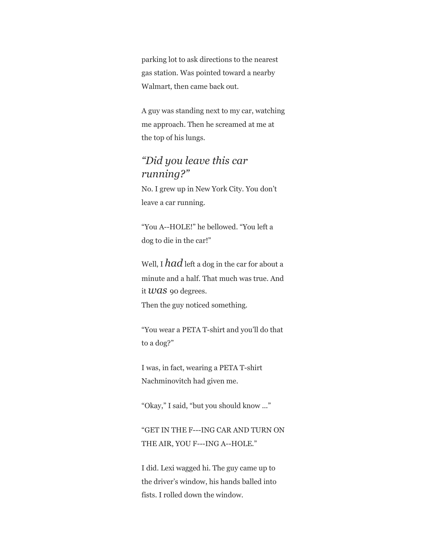parking lot to ask directions to the nearest gas station. Was pointed toward a nearby Walmart, then came back out.

A guy was standing next to my car, watching me approach. Then he screamed at me at the top of his lungs.

# *"Did you leave this car running?"*

No. I grew up in New York City. You don't leave a car running.

"You A--HOLE!" he bellowed. "You left a dog to die in the car!"

Well, I *had* left a dog in the car for about a minute and a half. That much was true. And it *was* 90 degrees. Then the guy noticed something.

"You wear a PETA T-shirt and you'll do that to a dog?"

I was, in fact, wearing a PETA T-shirt Nachminovitch had given me.

"Okay," I said, "but you should know ..."

"GET IN THE F---ING CAR AND TURN ON THE AIR, YOU F---ING A--HOLE."

I did. Lexi wagged hi. The guy came up to the driver's window, his hands balled into fists. I rolled down the window.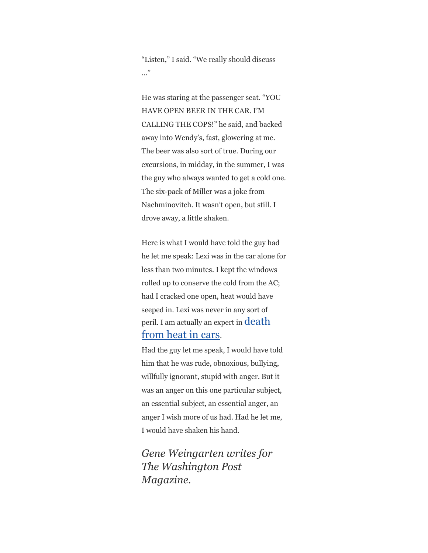"Listen," I said. "We really should discuss …"

He was staring at the passenger seat. "YOU HAVE OPEN BEER IN THE CAR. I'M CALLING THE COPS!" he said, and backed away into Wendy's, fast, glowering at me. The beer was also sort of true. During our excursions, in midday, in the summer, I was the guy who always wanted to get a cold one. The six-pack of Miller was a joke from Nachminovitch. It wasn't open, but still. I drove away, a little shaken.

Here is what I would have told the guy had he let me speak: Lexi was in the car alone for less than two minutes. I kept the windows rolled up to conserve the cold from the AC; had I cracked one open, heat would have seeped in. Lexi was never in any sort of peril. I am actually an expert in **death** [from heat in cars](https://www.washingtonpost.com/lifestyle/magazine/fatal-distraction-forgetting-a-child-in-thebackseat-of-a-car-is-a-horrifying-mistake-is-it-a-crime/2014/06/16/8ae0fe3a-f580-11e3-a3a5-42be35962a52_story.html).

Had the guy let me speak, I would have told him that he was rude, obnoxious, bullying, willfully ignorant, stupid with anger. But it was an anger on this one particular subject, an essential subject, an essential anger, an anger I wish more of us had. Had he let me, I would have shaken his hand.

*Gene Weingarten writes for The Washington Post Magazine.*